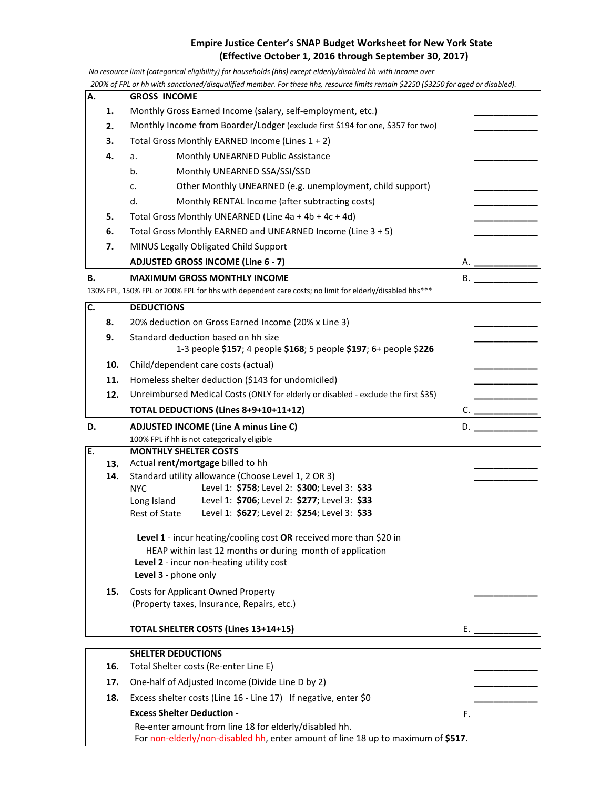## **Empire Justice Center's SNAP Budget Worksheet for New York State (Effective October 1, 2016 through September 30, 2017)**

 *No resource limit (categorical eligibility) for households (hhs) except elderly/disabled hh with income over*

 *200% of FPL or hh with sanctioned/disqualified member. For these hhs, resource limits remain \$2250 (\$3250 for aged or disabled).* 

|    |                                                                                                        | zoo‰ of FPL or nn with sanctionea/aisqualified member. For these hns, resource limits remain \$2250 (\$3250 for agea or aisablea).<br><b>GROSS INCOME</b> |    |    |  |  |  |  |  |
|----|--------------------------------------------------------------------------------------------------------|-----------------------------------------------------------------------------------------------------------------------------------------------------------|----|----|--|--|--|--|--|
| А. |                                                                                                        |                                                                                                                                                           |    |    |  |  |  |  |  |
|    | 1.                                                                                                     | Monthly Gross Earned Income (salary, self-employment, etc.)                                                                                               |    |    |  |  |  |  |  |
|    | 2.                                                                                                     | Monthly Income from Boarder/Lodger (exclude first \$194 for one, \$357 for two)                                                                           |    |    |  |  |  |  |  |
|    | 3.                                                                                                     | Total Gross Monthly EARNED Income (Lines 1 + 2)                                                                                                           |    |    |  |  |  |  |  |
|    | 4.                                                                                                     | Monthly UNEARNED Public Assistance<br>a.                                                                                                                  |    |    |  |  |  |  |  |
|    |                                                                                                        | b.<br>Monthly UNEARNED SSA/SSI/SSD                                                                                                                        |    |    |  |  |  |  |  |
|    |                                                                                                        | Other Monthly UNEARNED (e.g. unemployment, child support)<br>c.                                                                                           |    |    |  |  |  |  |  |
|    |                                                                                                        | d.<br>Monthly RENTAL Income (after subtracting costs)                                                                                                     |    |    |  |  |  |  |  |
|    | 5.                                                                                                     | Total Gross Monthly UNEARNED (Line 4a + 4b + 4c + 4d)                                                                                                     |    |    |  |  |  |  |  |
|    | 6.                                                                                                     | Total Gross Monthly EARNED and UNEARNED Income (Line 3 + 5)                                                                                               |    |    |  |  |  |  |  |
|    | 7.                                                                                                     | MINUS Legally Obligated Child Support                                                                                                                     |    |    |  |  |  |  |  |
|    |                                                                                                        | <b>ADJUSTED GROSS INCOME (Line 6 - 7)</b>                                                                                                                 | А. |    |  |  |  |  |  |
| В. |                                                                                                        | <b>MAXIMUM GROSS MONTHLY INCOME</b>                                                                                                                       | В. |    |  |  |  |  |  |
|    | 130% FPL, 150% FPL or 200% FPL for hhs with dependent care costs; no limit for elderly/disabled hhs*** |                                                                                                                                                           |    |    |  |  |  |  |  |
| C. | <b>DEDUCTIONS</b>                                                                                      |                                                                                                                                                           |    |    |  |  |  |  |  |
|    | 8.                                                                                                     | 20% deduction on Gross Earned Income (20% x Line 3)                                                                                                       |    |    |  |  |  |  |  |
|    | 9.                                                                                                     | Standard deduction based on hh size                                                                                                                       |    |    |  |  |  |  |  |
|    |                                                                                                        | 1-3 people \$157; 4 people \$168; 5 people \$197; 6+ people \$226                                                                                         |    |    |  |  |  |  |  |
|    | 10.                                                                                                    | Child/dependent care costs (actual)                                                                                                                       |    |    |  |  |  |  |  |
|    | 11.                                                                                                    | Homeless shelter deduction (\$143 for undomiciled)                                                                                                        |    |    |  |  |  |  |  |
|    | 12.                                                                                                    | Unreimbursed Medical Costs (ONLY for elderly or disabled - exclude the first \$35)                                                                        |    |    |  |  |  |  |  |
|    |                                                                                                        | TOTAL DEDUCTIONS (Lines 8+9+10+11+12)                                                                                                                     | C. |    |  |  |  |  |  |
| D. |                                                                                                        | <b>ADJUSTED INCOME (Line A minus Line C)</b>                                                                                                              |    | D. |  |  |  |  |  |
|    |                                                                                                        | 100% FPL if hh is not categorically eligible                                                                                                              |    |    |  |  |  |  |  |
| E. |                                                                                                        | <b>MONTHLY SHELTER COSTS</b>                                                                                                                              |    |    |  |  |  |  |  |
|    | 13.                                                                                                    | Actual rent/mortgage billed to hh                                                                                                                         |    |    |  |  |  |  |  |
|    | 14.                                                                                                    | Standard utility allowance (Choose Level 1, 2 OR 3)<br>Level 1: \$758; Level 2: \$300; Level 3: \$33<br><b>NYC</b>                                        |    |    |  |  |  |  |  |
|    |                                                                                                        | Level 1: \$706; Level 2: \$277; Level 3: \$33<br>Long Island                                                                                              |    |    |  |  |  |  |  |
|    |                                                                                                        | Level 1: \$627; Level 2: \$254; Level 3: \$33<br>Rest of State                                                                                            |    |    |  |  |  |  |  |
|    |                                                                                                        |                                                                                                                                                           |    |    |  |  |  |  |  |
|    |                                                                                                        | Level 1 - incur heating/cooling cost OR received more than \$20 in                                                                                        |    |    |  |  |  |  |  |
|    |                                                                                                        | HEAP within last 12 months or during month of application                                                                                                 |    |    |  |  |  |  |  |
|    |                                                                                                        | Level 2 - incur non-heating utility cost<br>Level 3 - phone only                                                                                          |    |    |  |  |  |  |  |
|    | 15.                                                                                                    |                                                                                                                                                           |    |    |  |  |  |  |  |
|    |                                                                                                        | <b>Costs for Applicant Owned Property</b><br>(Property taxes, Insurance, Repairs, etc.)                                                                   |    |    |  |  |  |  |  |
|    |                                                                                                        |                                                                                                                                                           |    |    |  |  |  |  |  |
|    |                                                                                                        | TOTAL SHELTER COSTS (Lines 13+14+15)                                                                                                                      | Ε. |    |  |  |  |  |  |
|    |                                                                                                        | <b>SHELTER DEDUCTIONS</b>                                                                                                                                 |    |    |  |  |  |  |  |
|    | 16.                                                                                                    | Total Shelter costs (Re-enter Line E)                                                                                                                     |    |    |  |  |  |  |  |
|    | 17.                                                                                                    | One-half of Adjusted Income (Divide Line D by 2)                                                                                                          |    |    |  |  |  |  |  |
|    |                                                                                                        |                                                                                                                                                           |    |    |  |  |  |  |  |
|    | 18.                                                                                                    | Excess shelter costs (Line 16 - Line 17) If negative, enter \$0                                                                                           |    |    |  |  |  |  |  |
|    |                                                                                                        | <b>Excess Shelter Deduction -</b>                                                                                                                         | F. |    |  |  |  |  |  |
|    |                                                                                                        | Re-enter amount from line 18 for elderly/disabled hh.                                                                                                     |    |    |  |  |  |  |  |

For non-elderly/non-disabled hh, enter amount of line 18 up to maximum of **\$517**.